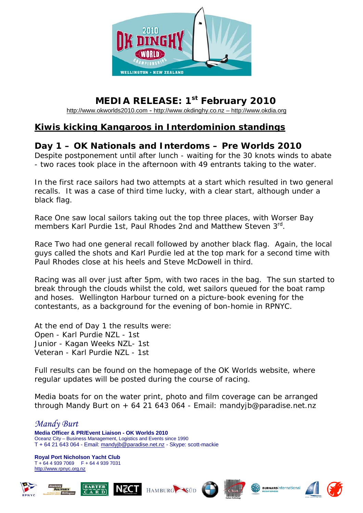

## **MEDIA RELEASE: 1st February 2010**

[http://www.okworlds2010.com](http://www.okworlds2010.com/) - [http://www.okdinghy.co.nz](http://www.okdinghy.co.nz/) – http://www.okdia.org

## **Kiwis kicking Kangaroos in Interdominion standings**

## **Day 1 – OK Nationals and Interdoms – Pre Worlds 2010**

Despite postponement until after lunch - waiting for the 30 knots winds to abate - two races took place in the afternoon with 49 entrants taking to the water.

In the first race sailors had two attempts at a start which resulted in two general recalls. It was a case of third time lucky, with a clear start, although under a black flag.

Race One saw local sailors taking out the top three places, with Worser Bay members Karl Purdie 1st, Paul Rhodes 2nd and Matthew Steven 3<sup>rd</sup>.

Race Two had one general recall followed by another black flag. Again, the local guys called the shots and Karl Purdie led at the top mark for a second time with Paul Rhodes close at his heels and Steve McDowell in third.

Racing was all over just after 5pm, with two races in the bag. The sun started to break through the clouds whilst the cold, wet sailors queued for the boat ramp and hoses. Wellington Harbour turned on a picture-book evening for the contestants, as a background for the evening of bon-homie in RPNYC.

At the end of Day 1 the results were: Open - Karl Purdie NZL - 1st Junior - Kagan Weeks NZL- 1st Veteran - Karl Purdie NZL - 1st

Full results can be found on the homepage of the OK Worlds website, where regular updates will be posted during the course of racing.

Media boats for on the water print, photo and film coverage can be arranged through Mandy Burt on + 64 21 643 064 - Email: mandyjb@paradise.net.nz

## *Mandy Burt*  **Media Officer & PR/Event Liaison - OK Worlds 2010**  Oceanz City – Business Management, Logistics and Events since 1990 T + 64 21 643 064 - Email: [mandyjb@paradise.net.nz](mailto:mandyjb@paradise.net.nz) - Skype: scott-mackie

**Royal Port Nicholson Yacht Club**  T + 64 4 939 7069 F + 64 4 939 7031 http://[www.rpnyc.org.nz](http://www.rpnyc.org.nz/)